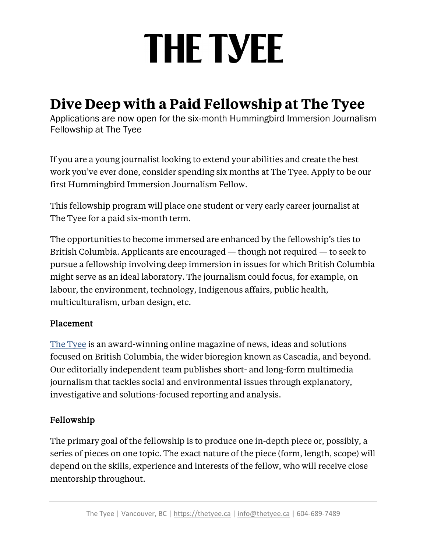# **THE TYEE**

### **Dive Deep with a Paid Fellowship at The Tyee**

Applications are now open for the six-month Hummingbird Immersion Journalism Fellowship at The Tyee

If you are a young journalist looking to extend your abilities and create the best work you've ever done, consider spending six months at The Tyee. Apply to be our first Hummingbird Immersion Journalism Fellow.

This fellowship program will place one student or very early career journalist at The Tyee for a paid six-month term.

The opportunities to become immersed are enhanced by the fellowship's ties to British Columbia. Applicants are encouraged — though not required — to seek to pursue a fellowship involving deep immersion in issues for which British Columbia might serve as an ideal laboratory. The journalism could focus, for example, on labour, the environment, technology, Indigenous affairs, public health, multiculturalism, urban design, etc.

#### Placement

The [Tyee](https://thetyee.ca/) is an award-winning online magazine of news, ideas and solutions focused on British Columbia, the wider bioregion known as Cascadia, and beyond. Our editorially independent team publishes short- and long-form multimedia journalism that tackles social and environmental issues through explanatory, investigative and solutions-focused reporting and analysis.

#### Fellowship

The primary goal of the fellowship is to produce one in-depth piece or, possibly, a series of pieces on one topic. The exact nature of the piece (form, length, scope) will depend on the skills, experience and interests of the fellow, who will receive close mentorship throughout.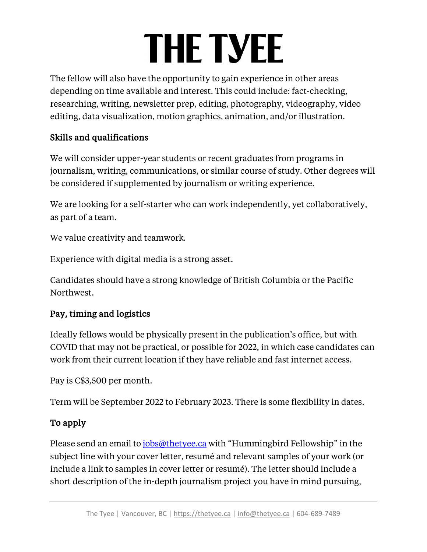# **THE TYEE**

The fellow will also have the opportunity to gain experience in other areas depending on time available and interest. This could include: fact-checking, researching, writing, newsletter prep, editing, photography, videography, video editing, data visualization, motion graphics, animation, and/or illustration.

### Skills and qualifications

We will consider upper-year students or recent graduates from programs in journalism, writing, communications, or similar course of study. Other degrees will be considered if supplemented by journalism or writing experience.

We are looking for a self-starter who can work independently, yet collaboratively, as part of a team.

We value creativity and teamwork.

Experience with digital media is a strong asset.

Candidates should have a strong knowledge of British Columbia or the Pacific Northwest.

#### Pay, timing and logistics

Ideally fellows would be physically present in the publication's office, but with COVID that may not be practical, or possible for 2022, in which case candidates can work from their current location if they have reliable and fast internet access.

Pay is C\$3,500 per month.

Term will be September 2022 to February 2023. There is some flexibility in dates.

### To apply

Please send an email to [jobs@thetyee.ca](mailto:jobs@thetyee.ca) with "Hummingbird Fellowship" in the subject line with your cover letter, resumé and relevant samples of your work (or include a link to samples in cover letter or resumé). The letter should include a short description of the in-depth journalism project you have in mind pursuing,